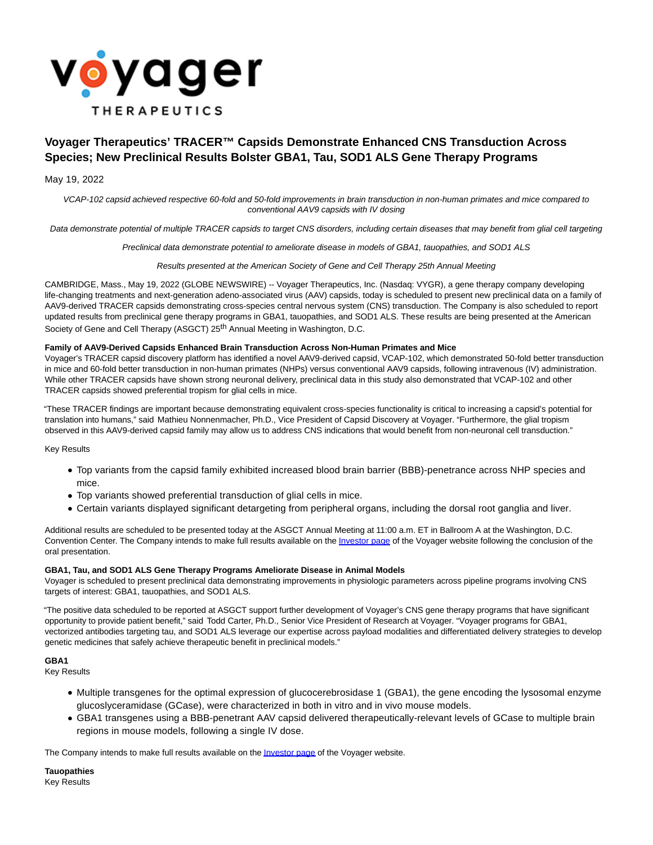

# **Voyager Therapeutics' TRACER™ Capsids Demonstrate Enhanced CNS Transduction Across Species; New Preclinical Results Bolster GBA1, Tau, SOD1 ALS Gene Therapy Programs**

### May 19, 2022

VCAP-102 capsid achieved respective 60-fold and 50-fold improvements in brain transduction in non-human primates and mice compared to conventional AAV9 capsids with IV dosing

Data demonstrate potential of multiple TRACER capsids to target CNS disorders, including certain diseases that may benefit from glial cell targeting

Preclinical data demonstrate potential to ameliorate disease in models of GBA1, tauopathies, and SOD1 ALS

Results presented at the American Society of Gene and Cell Therapy 25th Annual Meeting

CAMBRIDGE, Mass., May 19, 2022 (GLOBE NEWSWIRE) -- Voyager Therapeutics, Inc. (Nasdaq: VYGR), a gene therapy company developing life-changing treatments and next-generation adeno-associated virus (AAV) capsids, today is scheduled to present new preclinical data on a family of AAV9-derived TRACER capsids demonstrating cross-species central nervous system (CNS) transduction. The Company is also scheduled to report updated results from preclinical gene therapy programs in GBA1, tauopathies, and SOD1 ALS. These results are being presented at the American Society of Gene and Cell Therapy (ASGCT) 25<sup>th</sup> Annual Meeting in Washington, D.C.

#### **Family of AAV9-Derived Capsids Enhanced Brain Transduction Across Non-Human Primates and Mice**

Voyager's TRACER capsid discovery platform has identified a novel AAV9-derived capsid, VCAP-102, which demonstrated 50-fold better transduction in mice and 60-fold better transduction in non-human primates (NHPs) versus conventional AAV9 capsids, following intravenous (IV) administration. While other TRACER capsids have shown strong neuronal delivery, preclinical data in this study also demonstrated that VCAP-102 and other TRACER capsids showed preferential tropism for glial cells in mice.

"These TRACER findings are important because demonstrating equivalent cross-species functionality is critical to increasing a capsid's potential for translation into humans," said Mathieu Nonnenmacher, Ph.D., Vice President of Capsid Discovery at Voyager. "Furthermore, the glial tropism observed in this AAV9-derived capsid family may allow us to address CNS indications that would benefit from non-neuronal cell transduction."

Key Results

- Top variants from the capsid family exhibited increased blood brain barrier (BBB)-penetrance across NHP species and mice.
- Top variants showed preferential transduction of glial cells in mice.
- Certain variants displayed significant detargeting from peripheral organs, including the dorsal root ganglia and liver.

Additional results are scheduled to be presented today at the ASGCT Annual Meeting at 11:00 a.m. ET in Ballroom A at the Washington, D.C. Convention Center. The Company intends to make full results available on the [Investor page o](https://www.globenewswire.com/Tracker?data=paHZKwx9YBZhZ3nuPakJ4weysPLTjTn1zOnIE9gZXzFTRGhrsNL5xWUV8h4wtdoYKJ-I3CfKI4Bh_2QBmjQYxsPnMpiRqJaBHnj5EYzQFlT_lhBpZoexGfQ39MDkde-H)f the Voyager website following the conclusion of the oral presentation.

#### **GBA1, Tau, and SOD1 ALS Gene Therapy Programs Ameliorate Disease in Animal Models**

Voyager is scheduled to present preclinical data demonstrating improvements in physiologic parameters across pipeline programs involving CNS targets of interest: GBA1, tauopathies, and SOD1 ALS.

"The positive data scheduled to be reported at ASGCT support further development of Voyager's CNS gene therapy programs that have significant opportunity to provide patient benefit," said Todd Carter, Ph.D., Senior Vice President of Research at Voyager. "Voyager programs for GBA1, vectorized antibodies targeting tau, and SOD1 ALS leverage our expertise across payload modalities and differentiated delivery strategies to develop genetic medicines that safely achieve therapeutic benefit in preclinical models."

#### **GBA1**

Key Results

- Multiple transgenes for the optimal expression of glucocerebrosidase 1 (GBA1), the gene encoding the lysosomal enzyme glucoslyceramidase (GCase), were characterized in both in vitro and in vivo mouse models.
- GBA1 transgenes using a BBB-penetrant AAV capsid delivered therapeutically-relevant levels of GCase to multiple brain regions in mouse models, following a single IV dose.

The Company intends to make full results available on the *Investor page* of the Voyager website.

**Tauopathies** Key Results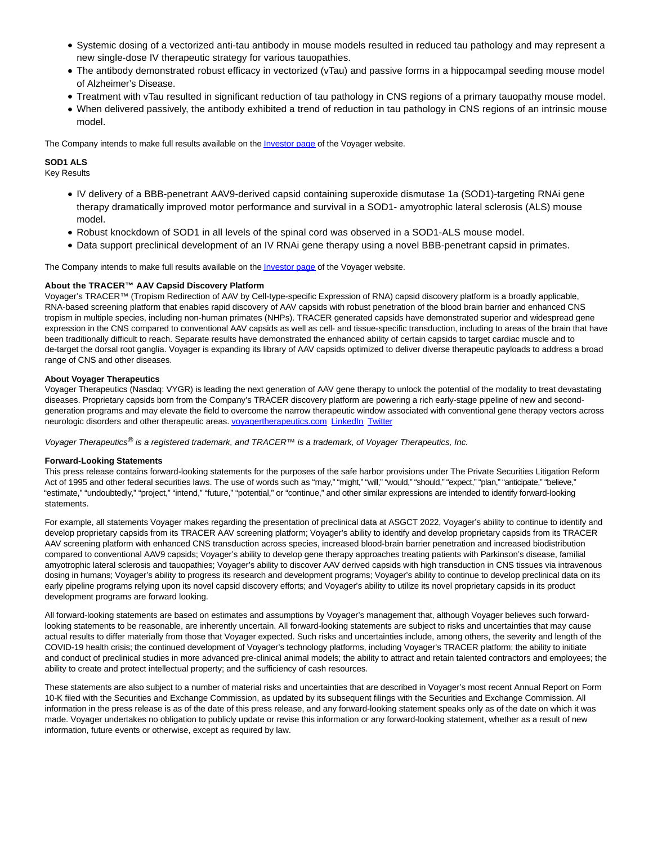- Systemic dosing of a vectorized anti-tau antibody in mouse models resulted in reduced tau pathology and may represent a new single-dose IV therapeutic strategy for various tauopathies.
- The antibody demonstrated robust efficacy in vectorized (vTau) and passive forms in a hippocampal seeding mouse model of Alzheimer's Disease.
- Treatment with vTau resulted in significant reduction of tau pathology in CNS regions of a primary tauopathy mouse model.
- When delivered passively, the antibody exhibited a trend of reduction in tau pathology in CNS regions of an intrinsic mouse model.

The Company intends to make full results available on th[e Investor page o](https://www.globenewswire.com/Tracker?data=paHZKwx9YBZhZ3nuPakJ41ImvGFjMVMjJsWyFfHQfaOjHCtCdW9xX6cSCb0x9g7KorNIfDsOtRZf2fQBGGB5NRG9FkHLSyYuYVKpR3ZF_8QZw0xNeIK2WW1qnHI5gEKy)f the Voyager website.

## **SOD1 ALS**

Key Results

- IV delivery of a BBB-penetrant AAV9-derived capsid containing superoxide dismutase 1a (SOD1)-targeting RNAi gene therapy dramatically improved motor performance and survival in a SOD1- amyotrophic lateral sclerosis (ALS) mouse model.
- Robust knockdown of SOD1 in all levels of the spinal cord was observed in a SOD1-ALS mouse model.
- Data support preclinical development of an IV RNAi gene therapy using a novel BBB-penetrant capsid in primates.

The Company intends to make full results available on the *Investor page* of the Voyager website.

#### **About the TRACER™ AAV Capsid Discovery Platform**

Voyager's TRACER™ (Tropism Redirection of AAV by Cell-type-specific Expression of RNA) capsid discovery platform is a broadly applicable, RNA-based screening platform that enables rapid discovery of AAV capsids with robust penetration of the blood brain barrier and enhanced CNS tropism in multiple species, including non-human primates (NHPs). TRACER generated capsids have demonstrated superior and widespread gene expression in the CNS compared to conventional AAV capsids as well as cell- and tissue-specific transduction, including to areas of the brain that have been traditionally difficult to reach. Separate results have demonstrated the enhanced ability of certain capsids to target cardiac muscle and to de-target the dorsal root ganglia. Voyager is expanding its library of AAV capsids optimized to deliver diverse therapeutic payloads to address a broad range of CNS and other diseases.

#### **About Voyager Therapeutics**

Voyager Therapeutics (Nasdaq: VYGR) is leading the next generation of AAV gene therapy to unlock the potential of the modality to treat devastating diseases. Proprietary capsids born from the Company's TRACER discovery platform are powering a rich early-stage pipeline of new and secondgeneration programs and may elevate the field to overcome the narrow therapeutic window associated with conventional gene therapy vectors across neurologic disorders and other therapeutic areas[. voyagertherapeutics.com](https://www.globenewswire.com/Tracker?data=jXev0xn2cedLeh_ApJSaQr3h1QT0zbsh5X-3a2G4n0SlEDRPlef_tdqVrhXW-5vNDU0jwU0kvCCgH5GEK-1m5dAZ679koYDuugYMr7YOC7_FemVUMdoGcrVmVWxYFZmi96bfHOYHhr2ANcz1BeVDHi2dfw3U3xuH3bGeXft-uNwNKzbkIRYsmzvfzgu8bbtvR3wVOVo5FsIclOUGuqDM2z_ffjJuWTJZtTknU9sueUrbwswYzhwpVhTnLaqWvR3o4cn6VWy87TNuNFKy0cDqqyqZ6-D5nlXjPtrO300eiGmEMZ0u_I50ATDF05YMe_l3z4V_0io7Od84v5ExYhR_dWme1nI5u1D2YlCn7vWdEajrQWRDw0r2ceE2-_CwcGM1HCEsLY40EQgwA2mYneyaJHsQvk6d4BTgeQJGyV0gRPpCc5lCx5BtHAAOIzqOX2rarY5Wcci9kiJM5mukdGv9sXyGOML_GUCV0jULj3QB-KBXtGMVaH-nKDxl-9_ZRZqakIOcNSdTwVfVWUZVGKhtzg==) [LinkedIn](https://www.globenewswire.com/Tracker?data=4pmmK2MZwyDlQhfSIfOADsLpcDN3lNyUm2YccVNf4xkqSEOhqAkoYk32scwGcV-PcdUxtcu9vxaDJRIQFmmD2WNU0Pet5cCiEGeEMaFojxJL8oHdki5xRpiniD1iLr6WBB1pGguY7TvFmjbAhstZHewVSZ4WNrNflXBMpjNTBITvp4FYUYvV6AWiRHrX2H-nsWpuBtpxQ3PchddBdMdirZeBX7nSzABV72WUFdEcNg3gPuOu0Q4f12sEwaTdZM9H7rQtMkPrx519xGxTr8Qe_oZjBnqxvUQtfArI40PSBsxnygdibA8-WoXjz7d7F_D-l6UTuqgm2DX_X5mRa3YWz-13n9ZIJ4EJdEcRE6KQj4BZRSd1aOlDGc5n12OpTWUuAyY57nHtjDYy5gqVxv-MTYfDwRKly0oKt1Pqg8TE9EieMzGYtMMnTvb5TmONeA8OgYzDh7k_cQGqRlhXjeb-Qhne0J9L_ROkFYTI0Coktop7xKN3ujUJJnGv7dpasu7uYWbJlRGtPPOMu_tM98v5WibTvk8zBAOxmW-9P1CmzFYJ7lxrnEmxUBVeGXfrtnJl) [Twitter](https://www.globenewswire.com/Tracker?data=g0OO07niZcn1klh4799rYdtgCSzpZRK9atBTvdWMV4xmcdBBPfO1F9AsJHzdP7-HF6o4uyyPBhBi5IHwXeadkg==)

Voyager Therapeutics<sup>®</sup> is a registered trademark, and TRACER™ is a trademark, of Voyager Therapeutics, Inc.

#### **Forward-Looking Statements**

This press release contains forward-looking statements for the purposes of the safe harbor provisions under The Private Securities Litigation Reform Act of 1995 and other federal securities laws. The use of words such as "may," "might," "will," "would," "should," "expect," "plan," "anticipate," "believe," "estimate," "undoubtedly," "project," "intend," "future," "potential," or "continue," and other similar expressions are intended to identify forward-looking statements.

For example, all statements Voyager makes regarding the presentation of preclinical data at ASGCT 2022, Voyager's ability to continue to identify and develop proprietary capsids from its TRACER AAV screening platform; Voyager's ability to identify and develop proprietary capsids from its TRACER AAV screening platform with enhanced CNS transduction across species, increased blood-brain barrier penetration and increased biodistribution compared to conventional AAV9 capsids; Voyager's ability to develop gene therapy approaches treating patients with Parkinson's disease, familial amyotrophic lateral sclerosis and tauopathies; Voyager's ability to discover AAV derived capsids with high transduction in CNS tissues via intravenous dosing in humans; Voyager's ability to progress its research and development programs; Voyager's ability to continue to develop preclinical data on its early pipeline programs relying upon its novel capsid discovery efforts; and Voyager's ability to utilize its novel proprietary capsids in its product development programs are forward looking.

All forward-looking statements are based on estimates and assumptions by Voyager's management that, although Voyager believes such forwardlooking statements to be reasonable, are inherently uncertain. All forward-looking statements are subject to risks and uncertainties that may cause actual results to differ materially from those that Voyager expected. Such risks and uncertainties include, among others, the severity and length of the COVID-19 health crisis; the continued development of Voyager's technology platforms, including Voyager's TRACER platform; the ability to initiate and conduct of preclinical studies in more advanced pre-clinical animal models; the ability to attract and retain talented contractors and employees; the ability to create and protect intellectual property; and the sufficiency of cash resources.

These statements are also subject to a number of material risks and uncertainties that are described in Voyager's most recent Annual Report on Form 10-K filed with the Securities and Exchange Commission, as updated by its subsequent filings with the Securities and Exchange Commission. All information in the press release is as of the date of this press release, and any forward-looking statement speaks only as of the date on which it was made. Voyager undertakes no obligation to publicly update or revise this information or any forward-looking statement, whether as a result of new information, future events or otherwise, except as required by law.